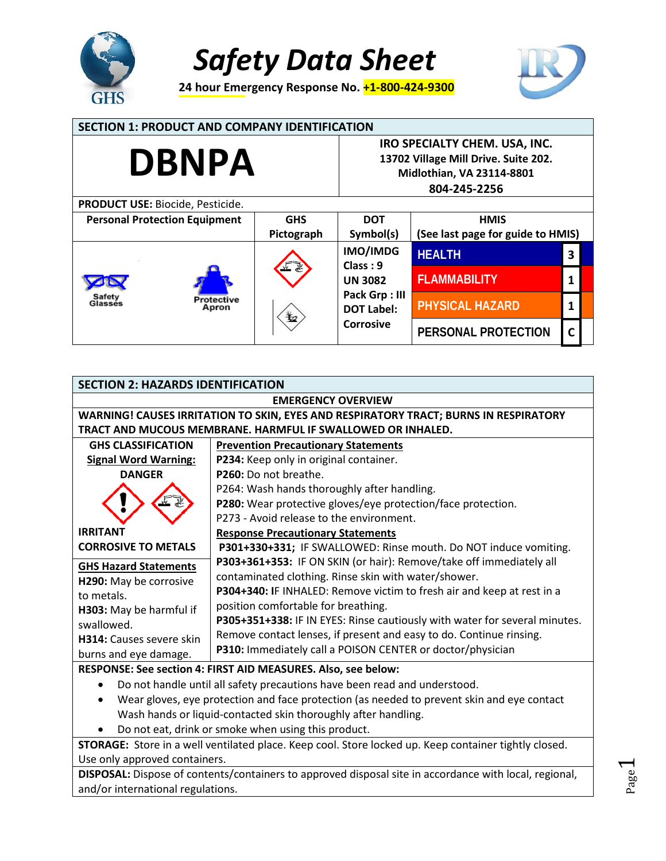

**24 hour Emergency Response No. +1-800-424-9300** 



Page  $\overline{\phantom{0}}$ 

#### **SECTION 1: PRODUCT AND COMPANY IDENTIFICATION IRO SPECIALTY CHEM. USA, INC. DBNPA 13702 Village Mill Drive. Suite 202. Midlothian, VA 23114-8801 804-245-2256 PRODUCT USE:** Biocide, Pesticide.  **Personal Protection Equipment** | GHS **DOT HMIS (See last page for guide to HMIS) Pictograph Symbol(s) IMO/IMDG HEALTH 3 Class : 9 FLAMMABILITY 1 UN 3082 Pack Grp : III** Safety otective Glasse **PHYSICAL HAZARD 1**  Apron **DOT Label: Corrosive PERSONAL PROTECTION C**

| <b>SECTION 2: HAZARDS IDENTIFICATION</b>                                                                                                                                                                                                                                                                                             |                                                                            |  |  |
|--------------------------------------------------------------------------------------------------------------------------------------------------------------------------------------------------------------------------------------------------------------------------------------------------------------------------------------|----------------------------------------------------------------------------|--|--|
| <b>EMERGENCY OVERVIEW</b>                                                                                                                                                                                                                                                                                                            |                                                                            |  |  |
| <b>WARNING! CAUSES IRRITATION TO SKIN, EYES AND RESPIRATORY TRACT; BURNS IN RESPIRATORY</b>                                                                                                                                                                                                                                          |                                                                            |  |  |
| TRACT AND MUCOUS MEMBRANE. HARMFUL IF SWALLOWED OR INHALED.                                                                                                                                                                                                                                                                          |                                                                            |  |  |
| <b>GHS CLASSIFICATION</b>                                                                                                                                                                                                                                                                                                            | <b>Prevention Precautionary Statements</b>                                 |  |  |
| <b>Signal Word Warning:</b>                                                                                                                                                                                                                                                                                                          | P234: Keep only in original container.                                     |  |  |
| <b>DANGER</b>                                                                                                                                                                                                                                                                                                                        | P260: Do not breathe.                                                      |  |  |
|                                                                                                                                                                                                                                                                                                                                      | P264: Wash hands thoroughly after handling.                                |  |  |
|                                                                                                                                                                                                                                                                                                                                      | P280: Wear protective gloves/eye protection/face protection.               |  |  |
|                                                                                                                                                                                                                                                                                                                                      | P273 - Avoid release to the environment.                                   |  |  |
| <b>IRRITANT</b>                                                                                                                                                                                                                                                                                                                      | <b>Response Precautionary Statements</b>                                   |  |  |
| <b>CORROSIVE TO METALS</b>                                                                                                                                                                                                                                                                                                           | P301+330+331; IF SWALLOWED: Rinse mouth. Do NOT induce vomiting.           |  |  |
| <b>GHS Hazard Statements</b>                                                                                                                                                                                                                                                                                                         | P303+361+353: IF ON SKIN (or hair): Remove/take off immediately all        |  |  |
| H290: May be corrosive                                                                                                                                                                                                                                                                                                               | contaminated clothing. Rinse skin with water/shower.                       |  |  |
| to metals.                                                                                                                                                                                                                                                                                                                           | P304+340: IF INHALED: Remove victim to fresh air and keep at rest in a     |  |  |
| H303: May be harmful if                                                                                                                                                                                                                                                                                                              | position comfortable for breathing.                                        |  |  |
| swallowed.                                                                                                                                                                                                                                                                                                                           | P305+351+338: IF IN EYES: Rinse cautiously with water for several minutes. |  |  |
| H314: Causes severe skin                                                                                                                                                                                                                                                                                                             | Remove contact lenses, if present and easy to do. Continue rinsing.        |  |  |
| burns and eye damage.                                                                                                                                                                                                                                                                                                                | P310: Immediately call a POISON CENTER or doctor/physician                 |  |  |
| RESPONSE: See section 4: FIRST AID MEASURES. Also, see below:                                                                                                                                                                                                                                                                        |                                                                            |  |  |
| Do not handle until all safety precautions have been read and understood.<br>$\bullet$                                                                                                                                                                                                                                               |                                                                            |  |  |
| Wear gloves, eye protection and face protection (as needed to prevent skin and eye contact                                                                                                                                                                                                                                           |                                                                            |  |  |
| Wash hands or liquid-contacted skin thoroughly after handling.                                                                                                                                                                                                                                                                       |                                                                            |  |  |
| Do not eat, drink or smoke when using this product.                                                                                                                                                                                                                                                                                  |                                                                            |  |  |
| STORAGE: Store in a well ventilated place. Keep cool. Store locked up. Keep container tightly closed.                                                                                                                                                                                                                                |                                                                            |  |  |
| Use only approved containers.                                                                                                                                                                                                                                                                                                        |                                                                            |  |  |
| the contract of the contract of the con-<br>$\mathbf{r}$ . The contract of the contract of the contract of the contract of the contract of the contract of the contract of the contract of the contract of the contract of the contract of the contract of the contract of th<br>the contract of the contract of the contract of the |                                                                            |  |  |

**DISPOSAL:** Dispose of contents/containers to approved disposal site in accordance with local, regional, and/or international regulations.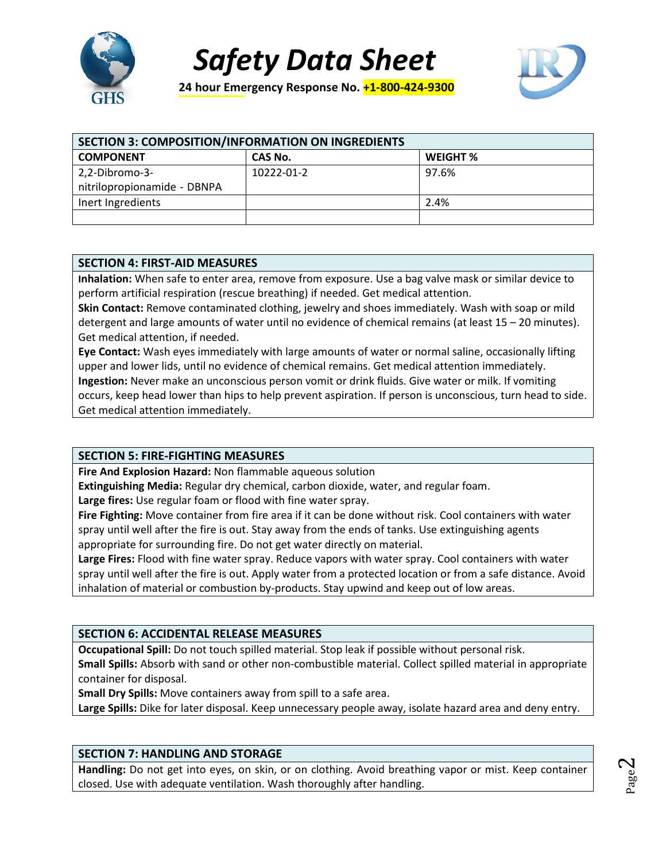

**24 hour Emergency Response No. +1-800-424-9300** 



| <b>SECTION 3: COMPOSITION/INFORMATION ON INGREDIENTS</b> |            |                 |  |
|----------------------------------------------------------|------------|-----------------|--|
| <b>COMPONENT</b>                                         | CAS No.    | <b>WEIGHT %</b> |  |
| 2,2-Dibromo-3-                                           | 10222-01-2 | 97.6%           |  |
| nitrilopropionamide - DBNPA                              |            |                 |  |
| Inert Ingredients                                        |            | 2.4%            |  |
|                                                          |            |                 |  |

#### **SECTION 4: FIRST-AID MEASURES**

**Inhalation:** When safe to enter area, remove from exposure. Use a bag valve mask or similar device to perform artificial respiration (rescue breathing) if needed. Get medical attention.

**Skin Contact:** Remove contaminated clothing, jewelry and shoes immediately. Wash with soap or mild detergent and large amounts of water until no evidence of chemical remains (at least 15 – 20 minutes). Get medical attention, if needed.

**Eye Contact:** Wash eyes immediately with large amounts of water or normal saline, occasionally lifting upper and lower lids, until no evidence of chemical remains. Get medical attention immediately. **Ingestion:** Never make an unconscious person vomit or drink fluids. Give water or milk. If vomiting occurs, keep head lower than hips to help prevent aspiration. If person is unconscious, turn head to side. Get medical attention immediately.

#### **SECTION 5: FIRE-FIGHTING MEASURES**

**Fire And Explosion Hazard:** Non flammable aqueous solution

**Extinguishing Media:** Regular dry chemical, carbon dioxide, water, and regular foam.

**Large fires:** Use regular foam or flood with fine water spray.

**Fire Fighting:** Move container from fire area if it can be done without risk. Cool containers with water spray until well after the fire is out. Stay away from the ends of tanks. Use extinguishing agents appropriate for surrounding fire. Do not get water directly on material.

**Large Fires:** Flood with fine water spray. Reduce vapors with water spray. Cool containers with water spray until well after the fire is out. Apply water from a protected location or from a safe distance. Avoid inhalation of material or combustion by-products. Stay upwind and keep out of low areas.

# **SECTION 6: ACCIDENTAL RELEASE MEASURES**

**Occupational Spill:** Do not touch spilled material. Stop leak if possible without personal risk.

**Small Spills:** Absorb with sand or other non-combustible material. Collect spilled material in appropriate container for disposal.

**Small Dry Spills:** Move containers away from spill to a safe area.

**Large Spills:** Dike for later disposal. Keep unnecessary people away, isolate hazard area and deny entry.

# **SECTION 7: HANDLING AND STORAGE**

**Handling:** Do not get into eyes, on skin, or on clothing. Avoid breathing vapor or mist. Keep container closed. Use with adequate ventilation. Wash thoroughly after handling.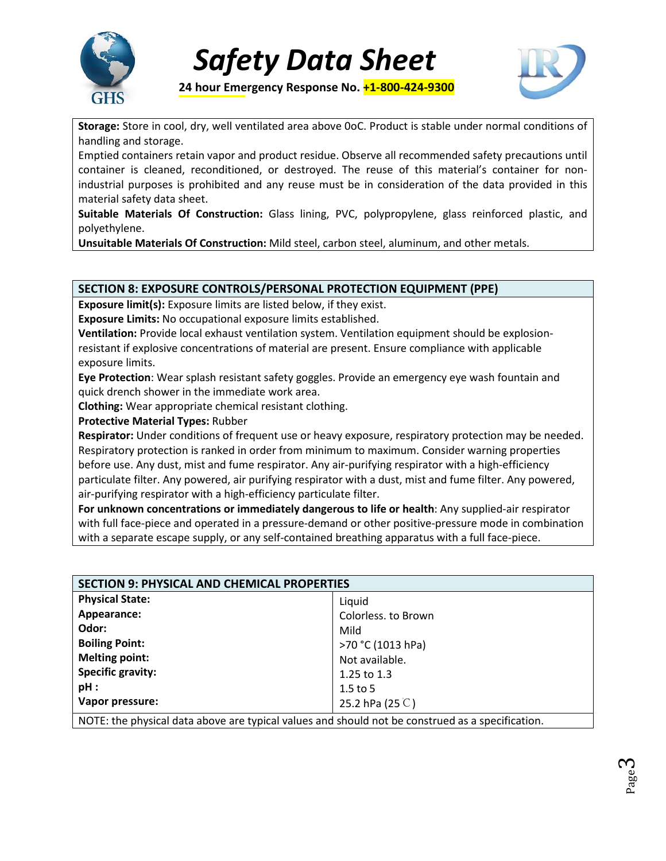



**24 hour Emergency Response No. +1-800-424-9300** 

**Storage:** Store in cool, dry, well ventilated area above 0oC. Product is stable under normal conditions of handling and storage.

Emptied containers retain vapor and product residue. Observe all recommended safety precautions until container is cleaned, reconditioned, or destroyed. The reuse of this material's container for nonindustrial purposes is prohibited and any reuse must be in consideration of the data provided in this material safety data sheet.

**Suitable Materials Of Construction:** Glass lining, PVC, polypropylene, glass reinforced plastic, and polyethylene.

**Unsuitable Materials Of Construction:** Mild steel, carbon steel, aluminum, and other metals.

# **SECTION 8: EXPOSURE CONTROLS/PERSONAL PROTECTION EQUIPMENT (PPE)**

**Exposure limit(s):** Exposure limits are listed below, if they exist.

**Exposure Limits:** No occupational exposure limits established.

**Ventilation:** Provide local exhaust ventilation system. Ventilation equipment should be explosionresistant if explosive concentrations of material are present. Ensure compliance with applicable exposure limits.

**Eye Protection**: Wear splash resistant safety goggles. Provide an emergency eye wash fountain and quick drench shower in the immediate work area.

**Clothing:** Wear appropriate chemical resistant clothing.

**Protective Material Types:** Rubber

**Respirator:** Under conditions of frequent use or heavy exposure, respiratory protection may be needed. Respiratory protection is ranked in order from minimum to maximum. Consider warning properties before use. Any dust, mist and fume respirator. Any air-purifying respirator with a high-efficiency particulate filter. Any powered, air purifying respirator with a dust, mist and fume filter. Any powered, air-purifying respirator with a high-efficiency particulate filter.

**For unknown concentrations or immediately dangerous to life or health**: Any supplied-air respirator with full face-piece and operated in a pressure-demand or other positive-pressure mode in combination with a separate escape supply, or any self-contained breathing apparatus with a full face-piece.

| <b>SECTION 9: PHYSICAL AND CHEMICAL PROPERTIES</b>                                               |                           |  |
|--------------------------------------------------------------------------------------------------|---------------------------|--|
| <b>Physical State:</b>                                                                           | Liquid                    |  |
| Appearance:                                                                                      | Colorless. to Brown       |  |
| Odor:                                                                                            | Mild                      |  |
| <b>Boiling Point:</b>                                                                            | >70 °C (1013 hPa)         |  |
| <b>Melting point:</b>                                                                            | Not available.            |  |
| <b>Specific gravity:</b>                                                                         | 1.25 to 1.3               |  |
| pH:                                                                                              | $1.5$ to 5                |  |
| Vapor pressure:                                                                                  | 25.2 hPa (25 $\degree$ C) |  |
| NOTE: the physical data above are typical values and should not be construed as a specification. |                           |  |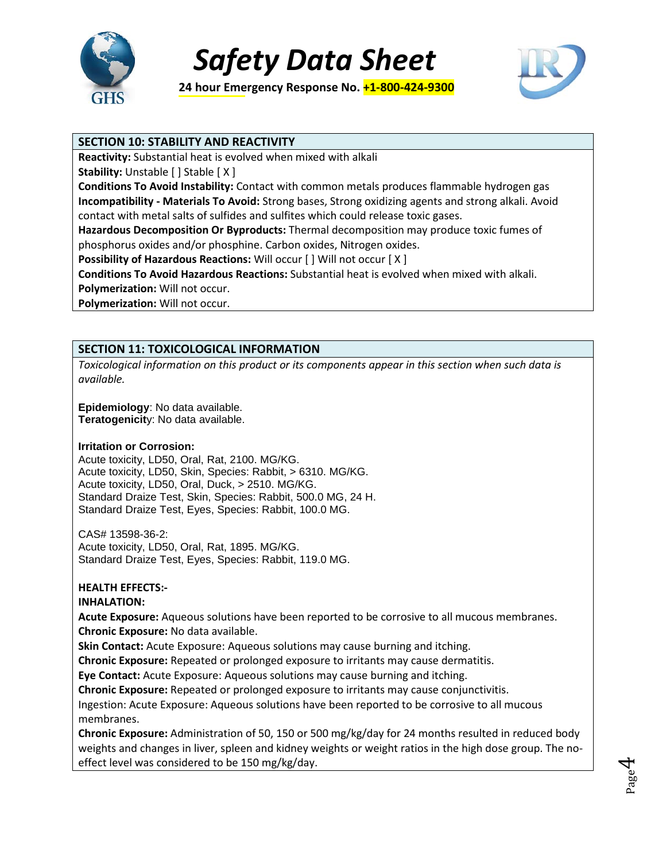

**24 hour Emergency Response No. +1-800-424-9300** 



### **SECTION 10: STABILITY AND REACTIVITY**

**Reactivity:** Substantial heat is evolved when mixed with alkali

**Stability:** Unstable [ ] Stable [ X ]

**Conditions To Avoid Instability:** Contact with common metals produces flammable hydrogen gas **Incompatibility - Materials To Avoid:** Strong bases, Strong oxidizing agents and strong alkali. Avoid contact with metal salts of sulfides and sulfites which could release toxic gases.

**Hazardous Decomposition Or Byproducts:** Thermal decomposition may produce toxic fumes of phosphorus oxides and/or phosphine. Carbon oxides, Nitrogen oxides.

**Possibility of Hazardous Reactions: Will occur [ ] Will not occur [ X ]** 

**Conditions To Avoid Hazardous Reactions:** Substantial heat is evolved when mixed with alkali.

**Polymerization:** Will not occur.

**Polymerization:** Will not occur.

# **SECTION 11: TOXICOLOGICAL INFORMATION**

*Toxicological information on this product or its components appear in this section when such data is available.*

**Epidemiology**: No data available. **Teratogenicit**y: No data available.

#### **Irritation or Corrosion:**

Acute toxicity, LD50, Oral, Rat, 2100. MG/KG. Acute toxicity, LD50, Skin, Species: Rabbit, > 6310. MG/KG. Acute toxicity, LD50, Oral, Duck, > 2510. MG/KG. Standard Draize Test, Skin, Species: Rabbit, 500.0 MG, 24 H. Standard Draize Test, Eyes, Species: Rabbit, 100.0 MG.

CAS# 13598-36-2: Acute toxicity, LD50, Oral, Rat, 1895. MG/KG. Standard Draize Test, Eyes, Species: Rabbit, 119.0 MG.

# **HEALTH EFFECTS:-**

**INHALATION:** 

**Acute Exposure:** Aqueous solutions have been reported to be corrosive to all mucous membranes. **Chronic Exposure:** No data available.

**Skin Contact:** Acute Exposure: Aqueous solutions may cause burning and itching.

**Chronic Exposure:** Repeated or prolonged exposure to irritants may cause dermatitis.

**Eye Contact:** Acute Exposure: Aqueous solutions may cause burning and itching.

**Chronic Exposure:** Repeated or prolonged exposure to irritants may cause conjunctivitis.

Ingestion: Acute Exposure: Aqueous solutions have been reported to be corrosive to all mucous membranes.

**Chronic Exposure:** Administration of 50, 150 or 500 mg/kg/day for 24 months resulted in reduced body weights and changes in liver, spleen and kidney weights or weight ratios in the high dose group. The noeffect level was considered to be 150 mg/kg/day.

Page 4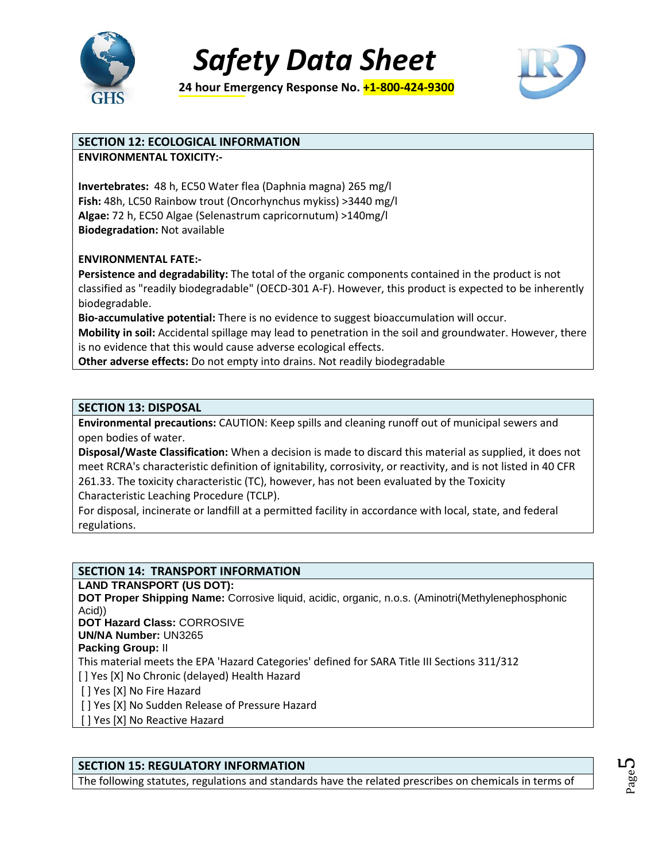

**24 hour Emergency Response No. +1-800-424-9300** 



### **SECTION 12: ECOLOGICAL INFORMATION**

**ENVIRONMENTAL TOXICITY:-** 

**Invertebrates:** 48 h, EC50 Water flea (Daphnia magna) 265 mg/l **Fish:** 48h, LC50 Rainbow trout (Oncorhynchus mykiss) >3440 mg/l **Algae:** 72 h, EC50 Algae (Selenastrum capricornutum) >140mg/l **Biodegradation:** Not available

#### **ENVIRONMENTAL FATE:-**

**Persistence and degradability:** The total of the organic components contained in the product is not classified as "readily biodegradable" (OECD-301 A-F). However, this product is expected to be inherently biodegradable.

**Bio-accumulative potential:** There is no evidence to suggest bioaccumulation will occur.

**Mobility in soil:** Accidental spillage may lead to penetration in the soil and groundwater. However, there is no evidence that this would cause adverse ecological effects.

**Other adverse effects:** Do not empty into drains. Not readily biodegradable

#### **SECTION 13: DISPOSAL**

**Environmental precautions:** CAUTION: Keep spills and cleaning runoff out of municipal sewers and open bodies of water.

**Disposal/Waste Classification:** When a decision is made to discard this material as supplied, it does not meet RCRA's characteristic definition of ignitability, corrosivity, or reactivity, and is not listed in 40 CFR 261.33. The toxicity characteristic (TC), however, has not been evaluated by the Toxicity Characteristic Leaching Procedure (TCLP).

For disposal, incinerate or landfill at a permitted facility in accordance with local, state, and federal regulations.

# **SECTION 14: TRANSPORT INFORMATION**

**LAND TRANSPORT (US DOT):**

**DOT Proper Shipping Name:** Corrosive liquid, acidic, organic, n.o.s. (Aminotri(Methylenephosphonic Acid))

**DOT Hazard Class:** CORROSIVE

**UN/NA Number:** UN3265

**Packing Group:** II

This material meets the EPA 'Hazard Categories' defined for SARA Title III Sections 311/312

[ ] Yes [X] No Chronic (delayed) Health Hazard

[ ] Yes [X] No Fire Hazard

[ ] Yes [X] No Sudden Release of Pressure Hazard

[ ] Yes [X] No Reactive Hazard

#### **SECTION 15: REGULATORY INFORMATION**

The following statutes, regulations and standards have the related prescribes on chemicals in terms of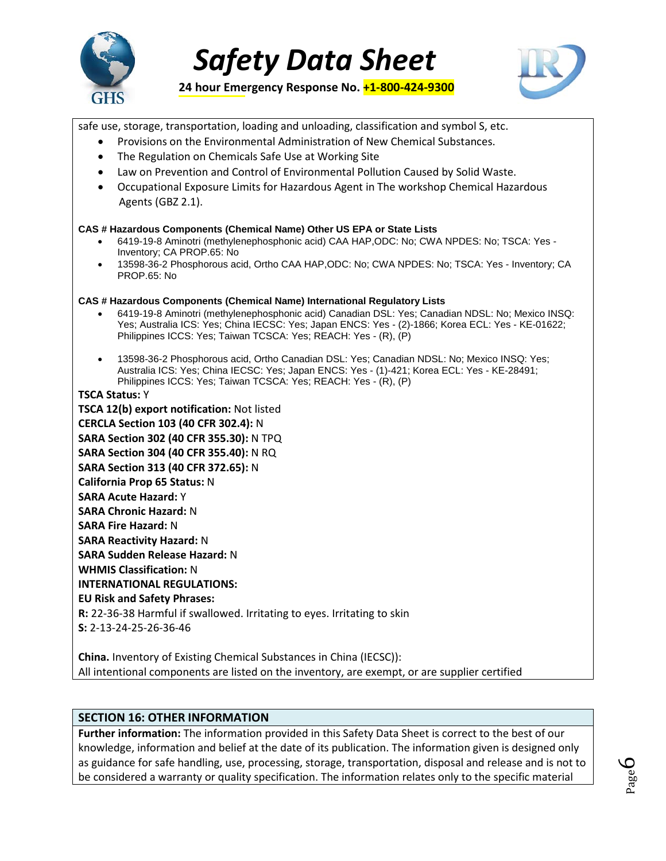



**24 hour Emergency Response No. +1-800-424-9300** 

safe use, storage, transportation, loading and unloading, classification and symbol S, etc.

- Provisions on the Environmental Administration of New Chemical Substances.
- The Regulation on Chemicals Safe Use at Working Site
- Law on Prevention and Control of Environmental Pollution Caused by Solid Waste.
- Occupational Exposure Limits for Hazardous Agent in The workshop Chemical Hazardous Agents (GBZ 2.1).

#### **CAS # Hazardous Components (Chemical Name) Other US EPA or State Lists**

- 6419-19-8 Aminotri (methylenephosphonic acid) CAA HAP,ODC: No; CWA NPDES: No; TSCA: Yes Inventory; CA PROP.65: No
- 13598-36-2 Phosphorous acid, Ortho CAA HAP,ODC: No; CWA NPDES: No; TSCA: Yes Inventory; CA PROP.65: No

#### **CAS # Hazardous Components (Chemical Name) International Regulatory Lists**

- 6419-19-8 Aminotri (methylenephosphonic acid) Canadian DSL: Yes; Canadian NDSL: No; Mexico INSQ: Yes; Australia ICS: Yes; China IECSC: Yes; Japan ENCS: Yes - (2)-1866; Korea ECL: Yes - KE-01622; Philippines ICCS: Yes; Taiwan TCSCA: Yes; REACH: Yes - (R), (P)
- 13598-36-2 Phosphorous acid, Ortho Canadian DSL: Yes; Canadian NDSL: No; Mexico INSQ: Yes; Australia ICS: Yes; China IECSC: Yes; Japan ENCS: Yes - (1)-421; Korea ECL: Yes - KE-28491; Philippines ICCS: Yes; Taiwan TCSCA: Yes; REACH: Yes - (R), (P)

#### **TSCA Status:** Y

**TSCA 12(b) export notification:** Not listed **CERCLA Section 103 (40 CFR 302.4):** N **SARA Section 302 (40 CFR 355.30):** N TPQ **SARA Section 304 (40 CFR 355.40):** N RQ **SARA Section 313 (40 CFR 372.65):** N **California Prop 65 Status:** N **SARA Acute Hazard:** Y **SARA Chronic Hazard:** N **SARA Fire Hazard:** N **SARA Reactivity Hazard:** N **SARA Sudden Release Hazard:** N **WHMIS Classification:** N **INTERNATIONAL REGULATIONS: EU Risk and Safety Phrases: R:** 22-36-38 Harmful if swallowed. Irritating to eyes. Irritating to skin **S:** 2-13-24-25-26-36-46

**China.** Inventory of Existing Chemical Substances in China (IECSC)): All intentional components are listed on the inventory, are exempt, or are supplier certified

# **SECTION 16: OTHER INFORMATION**

**Further information:** The information provided in this Safety Data Sheet is correct to the best of our knowledge, information and belief at the date of its publication. The information given is designed only as guidance for safe handling, use, processing, storage, transportation, disposal and release and is not to be considered a warranty or quality specification. The information relates only to the specific material